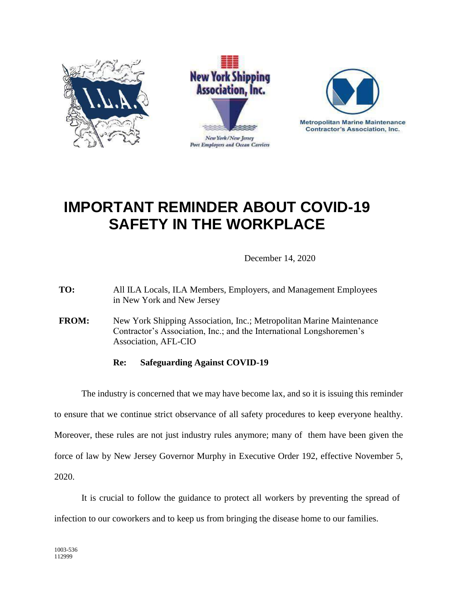





## **IMPORTANT REMINDER ABOUT COVID-19 SAFETY IN THE WORKPLACE**

December 14, 2020

**TO:** All ILA Locals, ILA Members, Employers, and Management Employees in New York and New Jersey

FROM: New York Shipping Association, Inc.; Metropolitan Marine Maintenance Contractor's Association, Inc.; and the International Longshoremen's Association, AFL-CIO

## **Re: Safeguarding Against COVID-19**

The industry is concerned that we may have become lax, and so it is issuing this reminder to ensure that we continue strict observance of all safety procedures to keep everyone healthy. Moreover, these rules are not just industry rules anymore; many of them have been given the force of law by New Jersey Governor Murphy in Executive Order 192, effective November 5, 2020.

It is crucial to follow the guidance to protect all workers by preventing the spread of infection to our coworkers and to keep us from bringing the disease home to our families.